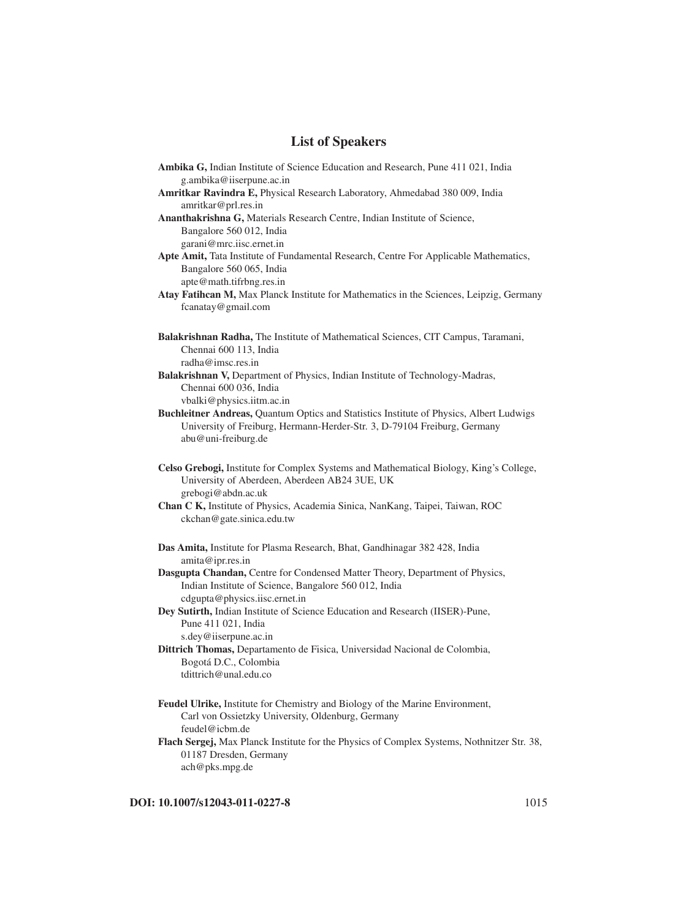## **List of Speakers**

| <b>Ambika G, Indian Institute of Science Education and Research, Pune 411 021, India</b>   |
|--------------------------------------------------------------------------------------------|
| g.ambika@iiserpune.ac.in                                                                   |
| Amritkar Ravindra E, Physical Research Laboratory, Ahmedabad 380 009, India                |
| amritkar@prl.res.in                                                                        |
| Ananthakrishna G, Materials Research Centre, Indian Institute of Science,                  |
| Bangalore 560 012, India                                                                   |
| garani@mrc.iisc.ernet.in                                                                   |
| Apte Amit, Tata Institute of Fundamental Research, Centre For Applicable Mathematics,      |
| Bangalore 560 065, India                                                                   |
| apte@math.tifrbng.res.in                                                                   |
| Atay Fatihcan M, Max Planck Institute for Mathematics in the Sciences, Leipzig, Germany    |
| fcanatay@gmail.com                                                                         |
|                                                                                            |
| Balakrishnan Radha, The Institute of Mathematical Sciences, CIT Campus, Taramani,          |
| Chennai 600 113, India                                                                     |
| radha@imsc.res.in                                                                          |
| Balakrishnan V, Department of Physics, Indian Institute of Technology-Madras,              |
| Chennai 600 036, India                                                                     |
| vbalki@physics.iitm.ac.in                                                                  |
| Buchleitner Andreas, Quantum Optics and Statistics Institute of Physics, Albert Ludwigs    |
| University of Freiburg, Hermann-Herder-Str. 3, D-79104 Freiburg, Germany                   |
| abu@uni-freiburg.de                                                                        |
|                                                                                            |
| Celso Grebogi, Institute for Complex Systems and Mathematical Biology, King's College,     |
| University of Aberdeen, Aberdeen AB24 3UE, UK                                              |
| grebogi@abdn.ac.uk                                                                         |
| Chan C K, Institute of Physics, Academia Sinica, NanKang, Taipei, Taiwan, ROC              |
| ckchan@gate.sinica.edu.tw                                                                  |
|                                                                                            |
| Das Amita, Institute for Plasma Research, Bhat, Gandhinagar 382 428, India                 |
| amita@ipr.res.in                                                                           |
| Dasgupta Chandan, Centre for Condensed Matter Theory, Department of Physics,               |
| Indian Institute of Science, Bangalore 560 012, India                                      |
| cdgupta@physics.iisc.ernet.in                                                              |
| Dey Sutirth, Indian Institute of Science Education and Research (IISER)-Pune,              |
| Pune 411 021, India                                                                        |
| s.dey@iiserpune.ac.in                                                                      |
| Dittrich Thomas, Departamento de Fisica, Universidad Nacional de Colombia,                 |
| Bogotá D.C., Colombia                                                                      |
| tdittrich@unal.edu.co                                                                      |
|                                                                                            |
| Feudel Ulrike, Institute for Chemistry and Biology of the Marine Environment,              |
| Carl von Ossietzky University, Oldenburg, Germany                                          |
| feudel@icbm.de                                                                             |
| Flach Sergej, Max Planck Institute for the Physics of Complex Systems, Nothnitzer Str. 38, |
| 01187 Dresden, Germany                                                                     |
| ach@pks.mpg.de                                                                             |

**DOI:** 10.1007/s12043-011-0227-8 1015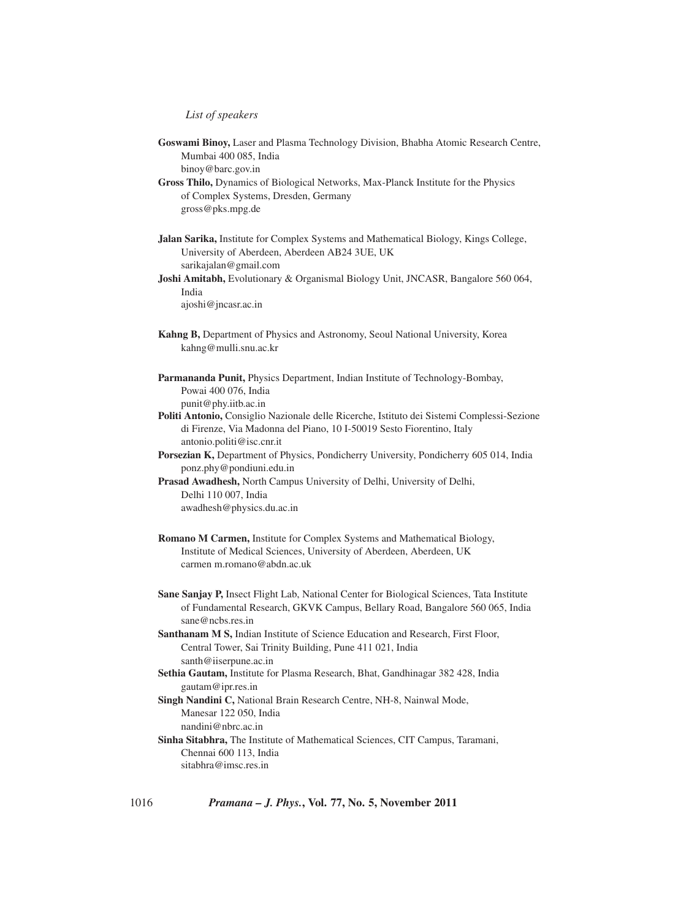## *List of speakers*

**Goswami Binoy,** Laser and Plasma Technology Division, Bhabha Atomic Research Centre, Mumbai 400 085, India binoy@barc.gov.in

**Gross Thilo,** Dynamics of Biological Networks, Max-Planck Institute for the Physics of Complex Systems, Dresden, Germany gross@pks.mpg.de

**Jalan Sarika,** Institute for Complex Systems and Mathematical Biology, Kings College, University of Aberdeen, Aberdeen AB24 3UE, UK sarikajalan@gmail.com

**Joshi Amitabh,** Evolutionary & Organismal Biology Unit, JNCASR, Bangalore 560 064, India

ajoshi@jncasr.ac.in

**Kahng B,** Department of Physics and Astronomy, Seoul National University, Korea kahng@mulli.snu.ac.kr

**Parmananda Punit,** Physics Department, Indian Institute of Technology-Bombay, Powai 400 076, India punit@phy.iitb.ac.in

- **Politi Antonio,** Consiglio Nazionale delle Ricerche, Istituto dei Sistemi Complessi-Sezione di Firenze, Via Madonna del Piano, 10 I-50019 Sesto Fiorentino, Italy antonio.politi@isc.cnr.it
- **Porsezian K,** Department of Physics, Pondicherry University, Pondicherry 605 014, India ponz.phy@pondiuni.edu.in

**Prasad Awadhesh,** North Campus University of Delhi, University of Delhi, Delhi 110 007, India

awadhesh@physics.du.ac.in

- **Romano M Carmen,** Institute for Complex Systems and Mathematical Biology, Institute of Medical Sciences, University of Aberdeen, Aberdeen, UK carmen m.romano@abdn.ac.uk
- **Sane Sanjay P,** Insect Flight Lab, National Center for Biological Sciences, Tata Institute of Fundamental Research, GKVK Campus, Bellary Road, Bangalore 560 065, India sane@ncbs.res.in
- **Santhanam M S,** Indian Institute of Science Education and Research, First Floor, Central Tower, Sai Trinity Building, Pune 411 021, India santh@iiserpune.ac.in
- **Sethia Gautam,** Institute for Plasma Research, Bhat, Gandhinagar 382 428, India gautam@ipr.res.in
- **Singh Nandini C,** National Brain Research Centre, NH-8, Nainwal Mode, Manesar 122 050, India nandini@nbrc.ac.in
- **Sinha Sitabhra,** The Institute of Mathematical Sciences, CIT Campus, Taramani, Chennai 600 113, India sitabhra@imsc.res.in

1016 *Pramana – J. Phys.***, Vol. 77, No. 5, November 2011**